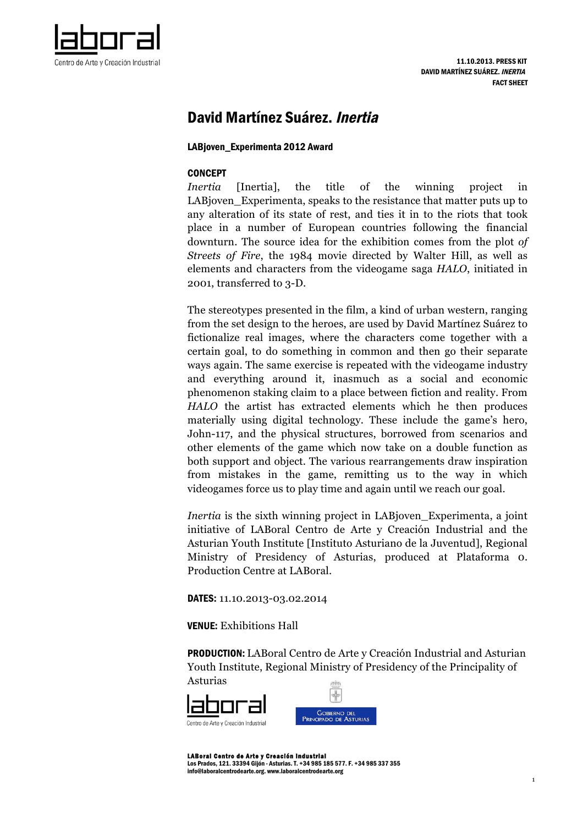

# David Martínez Suárez. Inertia

### LABjoven\_Experimenta 2012 Award

### **CONCEPT**

*Inertia* [Inertia], the title of the winning project in LABjoven Experimenta, speaks to the resistance that matter puts up to any alteration of its state of rest, and ties it in to the riots that took place in a number of European countries following the financial downturn. The source idea for the exhibition comes from the plot *of Streets of Fire*, the 1984 movie directed by Walter Hill, as well as elements and characters from the videogame saga *HALO*, initiated in 2001, transferred to 3-D.

The stereotypes presented in the film, a kind of urban western, ranging from the set design to the heroes, are used by David Martínez Suárez to fictionalize real images, where the characters come together with a certain goal, to do something in common and then go their separate ways again. The same exercise is repeated with the videogame industry and everything around it, inasmuch as a social and economic phenomenon staking claim to a place between fiction and reality. From *HALO* the artist has extracted elements which he then produces materially using digital technology. These include the game's hero, John-117, and the physical structures, borrowed from scenarios and other elements of the game which now take on a double function as both support and object. The various rearrangements draw inspiration from mistakes in the game, remitting us to the way in which videogames force us to play time and again until we reach our goal.

*Inertia* is the sixth winning project in LABjoven\_Experimenta, a joint initiative of LABoral Centro de Arte y Creación Industrial and the Asturian Youth Institute [Instituto Asturiano de la Juventud], Regional Ministry of Presidency of Asturias, produced at Plataforma 0. Production Centre at LABoral.

DATES: 11.10.2013-03.02.2014

VENUE: Exhibitions Hall

PRODUCTION: LABoral Centro de Arte y Creación Industrial and Asturian Youth Institute, Regional Ministry of Presidency of the Principality of Asturias



LABoral Centro de Arte y Creación Industrial Los Prados, 121. 33394 Gijón - Asturias. T. +34 985 185 577. F. +34 985 337 355 info@laboralcentrodearte.org. www.laboralcentrodearte.org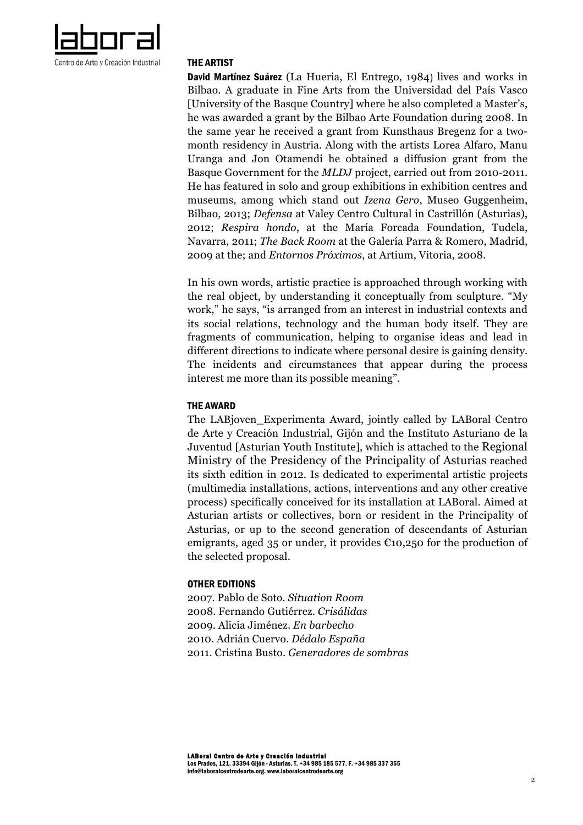

#### THE ARTIST

David Martínez Suárez (La Hueria, El Entrego, 1984) lives and works in Bilbao. A graduate in Fine Arts from the Universidad del País Vasco [University of the Basque Country] where he also completed a Master's, he was awarded a grant by the Bilbao Arte Foundation during 2008. In the same year he received a grant from Kunsthaus Bregenz for a twomonth residency in Austria. Along with the artists Lorea Alfaro, Manu Uranga and Jon Otamendi he obtained a diffusion grant from the Basque Government for the *MLDJ* project, carried out from 2010-2011. He has featured in solo and group exhibitions in exhibition centres and museums, among which stand out *Izena Gero*, Museo Guggenheim, Bilbao, 2013; *Defensa* at Valey Centro Cultural in Castrillón (Asturias), 2012; *Respira hondo*, at the María Forcada Foundation, Tudela, Navarra, 2011; *The Back Room* at the Galería Parra & Romero, Madrid, 2009 at the; and *Entornos Próximos*, at Artium, Vitoria, 2008.

In his own words, artistic practice is approached through working with the real object, by understanding it conceptually from sculpture. "My work," he says, "is arranged from an interest in industrial contexts and its social relations, technology and the human body itself. They are fragments of communication, helping to organise ideas and lead in different directions to indicate where personal desire is gaining density. The incidents and circumstances that appear during the process interest me more than its possible meaning".

### THE AWARD

The LABjoven\_Experimenta Award, jointly called by LABoral Centro de Arte y Creación Industrial, Gijón and the Instituto Asturiano de la Juventud [Asturian Youth Institute], which is attached to the Regional Ministry of the Presidency of the Principality of Asturias reached its sixth edition in 2012. Is dedicated to experimental artistic projects (multimedia installations, actions, interventions and any other creative process) specifically conceived for its installation at LABoral. Aimed at Asturian artists or collectives, born or resident in the Principality of Asturias, or up to the second generation of descendants of Asturian emigrants, aged 35 or under, it provides  $\epsilon$ 10,250 for the production of the selected proposal.

### OTHER EDITIONS

2007. Pablo de Soto. *Situation Room* 2008. Fernando Gutiérrez. *Crisálidas* 2009. Alicia Jiménez. *En barbecho* 2010. Adrián Cuervo. *Dédalo España* 2011. Cristina Busto. *Generadores de sombras*

LABoral Centro de Arte y Creación Industrial Los Prados, 121. 33394 Gijón - Asturias. T. +34 985 185 577. F. +34 985 337 355 info@laboralcentrodearte.org. www.laboralcentrodearte.org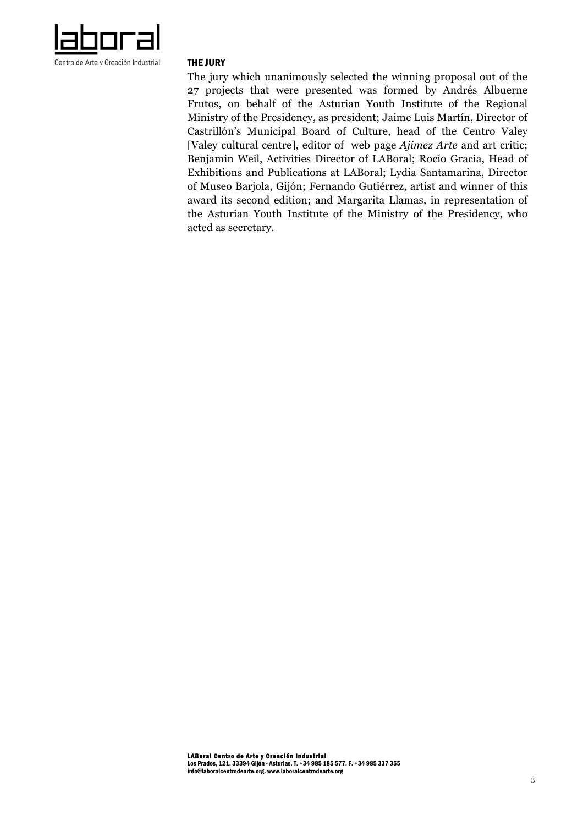

#### THE JURY

The jury which unanimously selected the winning proposal out of the 27 projects that were presented was formed by Andrés Albuerne Frutos, on behalf of the Asturian Youth Institute of the Regional Ministry of the Presidency, as president; Jaime Luis Martín, Director of Castrillón's Municipal Board of Culture, head of the Centro Valey [Valey cultural centre], editor of web page *Ajimez Arte* and art critic; Benjamin Weil, Activities Director of LABoral; Rocío Gracia, Head of Exhibitions and Publications at LABoral; Lydia Santamarina, Director of Museo Barjola, Gijón; Fernando Gutiérrez, artist and winner of this award its second edition; and Margarita Llamas, in representation of the Asturian Youth Institute of the Ministry of the Presidency, who acted as secretary.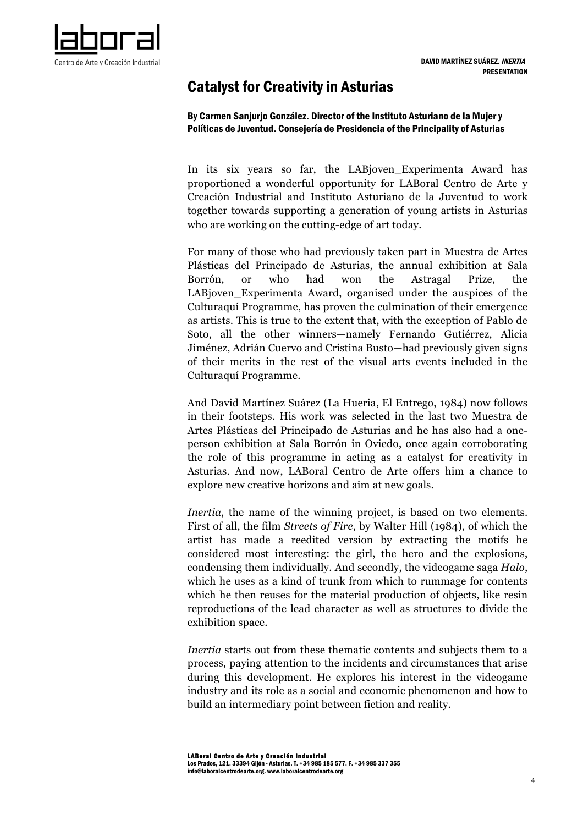# Catalyst for Creativity in Asturias

By Carmen Sanjurjo González. Director of the Instituto Asturiano de la Mujer y Políticas de Juventud. Consejería de Presidencia of the Principality of Asturias

In its six years so far, the LABjoven\_Experimenta Award has proportioned a wonderful opportunity for LABoral Centro de Arte y Creación Industrial and Instituto Asturiano de la Juventud to work together towards supporting a generation of young artists in Asturias who are working on the cutting-edge of art today.

For many of those who had previously taken part in Muestra de Artes Plásticas del Principado de Asturias, the annual exhibition at Sala Borrón, or who had won the Astragal Prize, the LABjoven\_Experimenta Award, organised under the auspices of the Culturaquí Programme, has proven the culmination of their emergence as artists. This is true to the extent that, with the exception of Pablo de Soto, all the other winners—namely Fernando Gutiérrez, Alicia Jiménez, Adrián Cuervo and Cristina Busto—had previously given signs of their merits in the rest of the visual arts events included in the Culturaquí Programme.

And David Martínez Suárez (La Hueria, El Entrego, 1984) now follows in their footsteps. His work was selected in the last two Muestra de Artes Plásticas del Principado de Asturias and he has also had a oneperson exhibition at Sala Borrón in Oviedo, once again corroborating the role of this programme in acting as a catalyst for creativity in Asturias. And now, LABoral Centro de Arte offers him a chance to explore new creative horizons and aim at new goals.

*Inertia*, the name of the winning project, is based on two elements. First of all, the film *Streets of Fire*, by Walter Hill (1984), of which the artist has made a reedited version by extracting the motifs he considered most interesting: the girl, the hero and the explosions, condensing them individually. And secondly, the videogame saga *Halo*, which he uses as a kind of trunk from which to rummage for contents which he then reuses for the material production of objects, like resin reproductions of the lead character as well as structures to divide the exhibition space.

*Inertia* starts out from these thematic contents and subjects them to a process, paying attention to the incidents and circumstances that arise during this development. He explores his interest in the videogame industry and its role as a social and economic phenomenon and how to build an intermediary point between fiction and reality.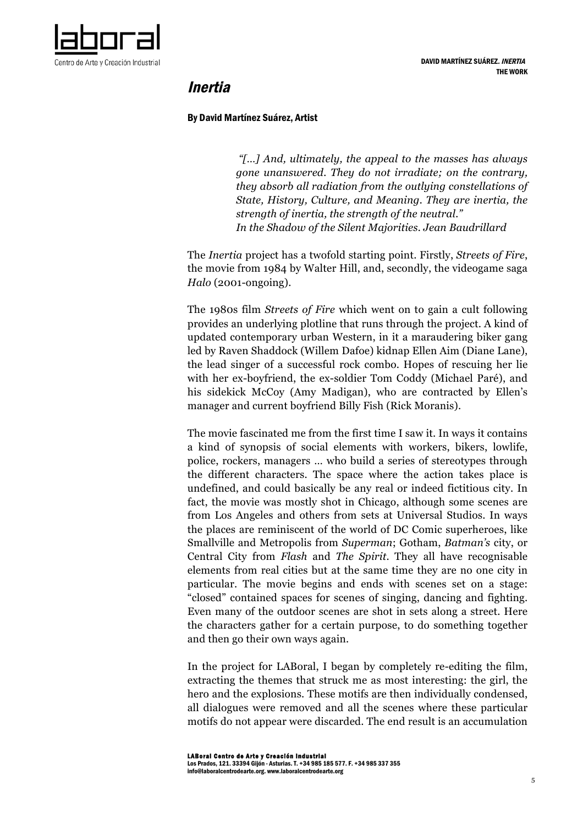

# Inertia

### By David Martínez Suárez, Artist

*"[…] And, ultimately, the appeal to the masses has always gone unanswered. They do not irradiate; on the contrary, they absorb all radiation from the outlying constellations of State, History, Culture, and Meaning. They are inertia, the strength of inertia, the strength of the neutral." In the Shadow of the Silent Majorities. Jean Baudrillard*

The *Inertia* project has a twofold starting point. Firstly, *Streets of Fire*, the movie from 1984 by Walter Hill, and, secondly, the videogame saga *Halo* (2001-ongoing).

The 1980s film *Streets of Fire* which went on to gain a cult following provides an underlying plotline that runs through the project. A kind of updated contemporary urban Western, in it a maraudering biker gang led by Raven Shaddock (Willem Dafoe) kidnap Ellen Aim (Diane Lane), the lead singer of a successful rock combo. Hopes of rescuing her lie with her ex-boyfriend, the ex-soldier Tom Coddy (Michael Paré), and his sidekick McCoy (Amy Madigan), who are contracted by Ellen's manager and current boyfriend Billy Fish (Rick Moranis).

The movie fascinated me from the first time I saw it. In ways it contains a kind of synopsis of social elements with workers, bikers, lowlife, police, rockers, managers … who build a series of stereotypes through the different characters. The space where the action takes place is undefined, and could basically be any real or indeed fictitious city. In fact, the movie was mostly shot in Chicago, although some scenes are from Los Angeles and others from sets at Universal Studios. In ways the places are reminiscent of the world of DC Comic superheroes, like Smallville and Metropolis from *Superman*; Gotham, *Batman's* city, or Central City from *Flash* and *The Spirit*. They all have recognisable elements from real cities but at the same time they are no one city in particular. The movie begins and ends with scenes set on a stage: "closed" contained spaces for scenes of singing, dancing and fighting. Even many of the outdoor scenes are shot in sets along a street. Here the characters gather for a certain purpose, to do something together and then go their own ways again.

In the project for LABoral, I began by completely re-editing the film, extracting the themes that struck me as most interesting: the girl, the hero and the explosions. These motifs are then individually condensed, all dialogues were removed and all the scenes where these particular motifs do not appear were discarded. The end result is an accumulation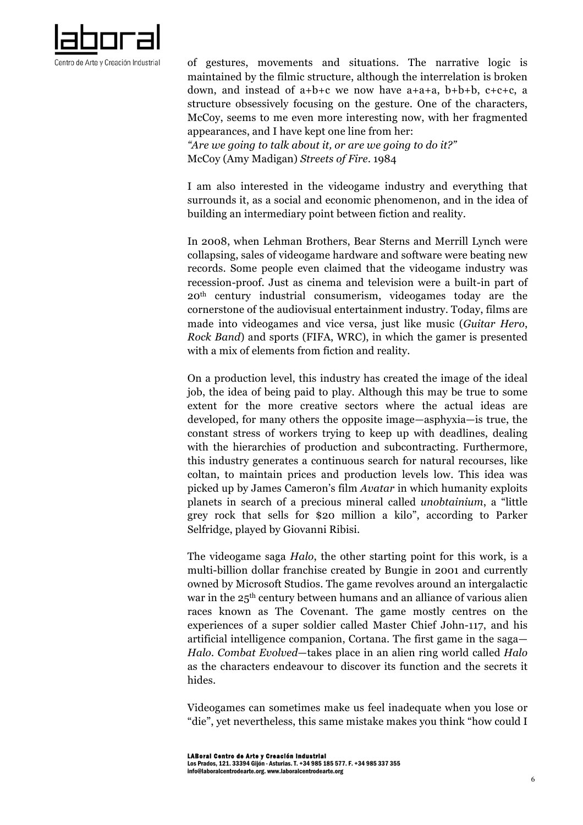

of gestures, movements and situations. The narrative logic is maintained by the filmic structure, although the interrelation is broken down, and instead of a+b+c we now have a+a+a, b+b+b, c+c+c, a structure obsessively focusing on the gesture. One of the characters, McCoy, seems to me even more interesting now, with her fragmented appearances, and I have kept one line from her: *"Are we going to talk about it, or are we going to do it?"*

McCoy (Amy Madigan) *Streets of Fire*. 1984

I am also interested in the videogame industry and everything that surrounds it, as a social and economic phenomenon, and in the idea of building an intermediary point between fiction and reality.

In 2008, when Lehman Brothers, Bear Sterns and Merrill Lynch were collapsing, sales of videogame hardware and software were beating new records. Some people even claimed that the videogame industry was recession-proof. Just as cinema and television were a built-in part of 20th century industrial consumerism, videogames today are the cornerstone of the audiovisual entertainment industry. Today, films are made into videogames and vice versa, just like music (*Guitar Hero*, *Rock Band*) and sports (FIFA, WRC), in which the gamer is presented with a mix of elements from fiction and reality.

On a production level, this industry has created the image of the ideal job, the idea of being paid to play. Although this may be true to some extent for the more creative sectors where the actual ideas are developed, for many others the opposite image—asphyxia—is true, the constant stress of workers trying to keep up with deadlines, dealing with the hierarchies of production and subcontracting. Furthermore, this industry generates a continuous search for natural recourses, like coltan, to maintain prices and production levels low. This idea was picked up by James Cameron's film *Avatar* in which humanity exploits planets in search of a precious mineral called *unobtainium*, a "little grey rock that sells for \$20 million a kilo", according to Parker Selfridge, played by Giovanni Ribisi.

The videogame saga *Halo*, the other starting point for this work, is a multi-billion dollar franchise created by Bungie in 2001 and currently owned by Microsoft Studios. The game revolves around an intergalactic war in the 25th century between humans and an alliance of various alien races known as The Covenant. The game mostly centres on the experiences of a super soldier called Master Chief John-117, and his artificial intelligence companion, Cortana. The first game in the saga— *Halo. Combat Evolved*—takes place in an alien ring world called *Halo* as the characters endeavour to discover its function and the secrets it hides.

Videogames can sometimes make us feel inadequate when you lose or "die", yet nevertheless, this same mistake makes you think "how could I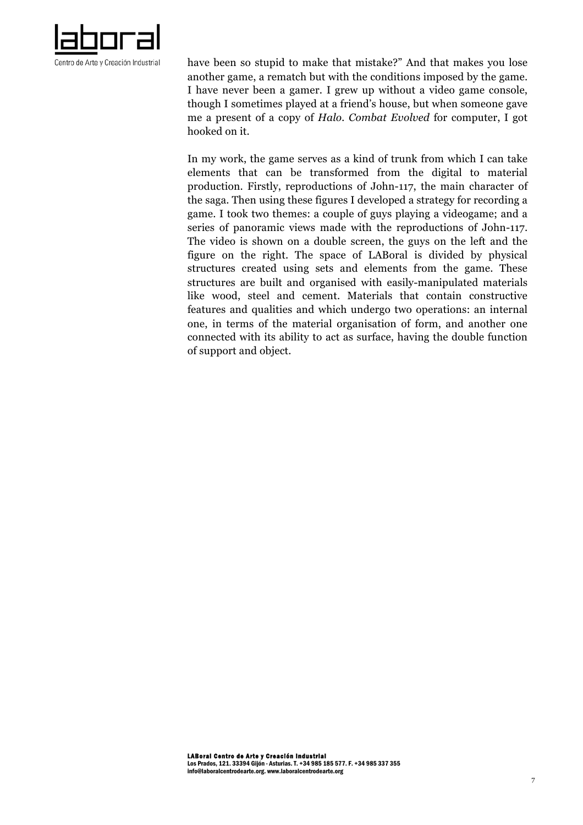

have been so stupid to make that mistake?" And that makes you lose another game, a rematch but with the conditions imposed by the game. I have never been a gamer. I grew up without a video game console, though I sometimes played at a friend's house, but when someone gave me a present of a copy of *Halo. Combat Evolved* for computer, I got hooked on it.

In my work, the game serves as a kind of trunk from which I can take elements that can be transformed from the digital to material production. Firstly, reproductions of John-117, the main character of the saga. Then using these figures I developed a strategy for recording a game. I took two themes: a couple of guys playing a videogame; and a series of panoramic views made with the reproductions of John-117. The video is shown on a double screen, the guys on the left and the figure on the right. The space of LABoral is divided by physical structures created using sets and elements from the game. These structures are built and organised with easily-manipulated materials like wood, steel and cement. Materials that contain constructive features and qualities and which undergo two operations: an internal one, in terms of the material organisation of form, and another one connected with its ability to act as surface, having the double function of support and object.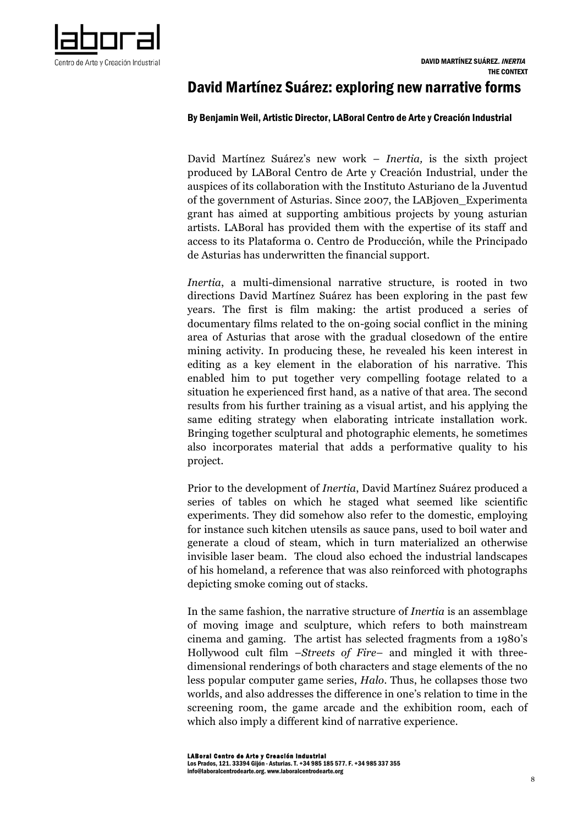

# David Martínez Suárez: exploring new narrative forms

### By Benjamin Weil, Artistic Director, LABoral Centro de Arte y Creación Industrial

David Martínez Suárez's new work – *Inertia,* is the sixth project produced by LABoral Centro de Arte y Creación Industrial, under the auspices of its collaboration with the Instituto Asturiano de la Juventud of the government of Asturias. Since 2007, the LABjoven\_Experimenta grant has aimed at supporting ambitious projects by young asturian artists. LABoral has provided them with the expertise of its staff and access to its Plataforma 0. Centro de Producción, while the Principado de Asturias has underwritten the financial support.

*Inertia*, a multi-dimensional narrative structure, is rooted in two directions David Martínez Suárez has been exploring in the past few years. The first is film making: the artist produced a series of documentary films related to the on-going social conflict in the mining area of Asturias that arose with the gradual closedown of the entire mining activity. In producing these, he revealed his keen interest in editing as a key element in the elaboration of his narrative. This enabled him to put together very compelling footage related to a situation he experienced first hand, as a native of that area. The second results from his further training as a visual artist, and his applying the same editing strategy when elaborating intricate installation work. Bringing together sculptural and photographic elements, he sometimes also incorporates material that adds a performative quality to his project.

Prior to the development of *Inertia*, David Martínez Suárez produced a series of tables on which he staged what seemed like scientific experiments. They did somehow also refer to the domestic, employing for instance such kitchen utensils as sauce pans, used to boil water and generate a cloud of steam, which in turn materialized an otherwise invisible laser beam. The cloud also echoed the industrial landscapes of his homeland, a reference that was also reinforced with photographs depicting smoke coming out of stacks.

In the same fashion, the narrative structure of *Inertia* is an assemblage of moving image and sculpture, which refers to both mainstream cinema and gaming. The artist has selected fragments from a 1980's Hollywood cult film –*Streets of Fire*– and mingled it with threedimensional renderings of both characters and stage elements of the no less popular computer game series, *Halo*. Thus, he collapses those two worlds, and also addresses the difference in one's relation to time in the screening room, the game arcade and the exhibition room, each of which also imply a different kind of narrative experience.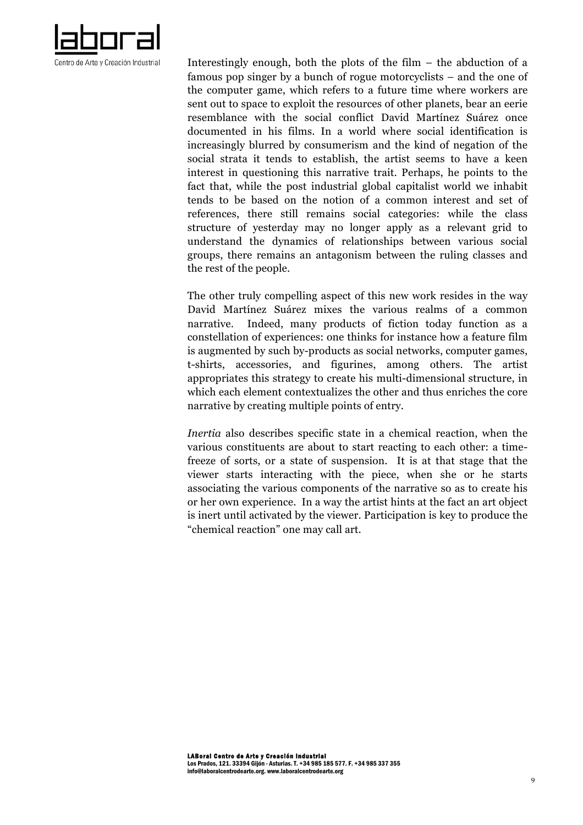

Interestingly enough, both the plots of the film – the abduction of a famous pop singer by a bunch of rogue motorcyclists – and the one of the computer game, which refers to a future time where workers are sent out to space to exploit the resources of other planets, bear an eerie resemblance with the social conflict David Martínez Suárez once documented in his films. In a world where social identification is increasingly blurred by consumerism and the kind of negation of the social strata it tends to establish, the artist seems to have a keen interest in questioning this narrative trait. Perhaps, he points to the fact that, while the post industrial global capitalist world we inhabit tends to be based on the notion of a common interest and set of references, there still remains social categories: while the class structure of yesterday may no longer apply as a relevant grid to understand the dynamics of relationships between various social groups, there remains an antagonism between the ruling classes and the rest of the people.

The other truly compelling aspect of this new work resides in the way David Martínez Suárez mixes the various realms of a common narrative. Indeed, many products of fiction today function as a constellation of experiences: one thinks for instance how a feature film is augmented by such by-products as social networks, computer games, t-shirts, accessories, and figurines, among others. The artist appropriates this strategy to create his multi-dimensional structure, in which each element contextualizes the other and thus enriches the core narrative by creating multiple points of entry.

*Inertia* also describes specific state in a chemical reaction, when the various constituents are about to start reacting to each other: a timefreeze of sorts, or a state of suspension. It is at that stage that the viewer starts interacting with the piece, when she or he starts associating the various components of the narrative so as to create his or her own experience. In a way the artist hints at the fact an art object is inert until activated by the viewer. Participation is key to produce the "chemical reaction" one may call art.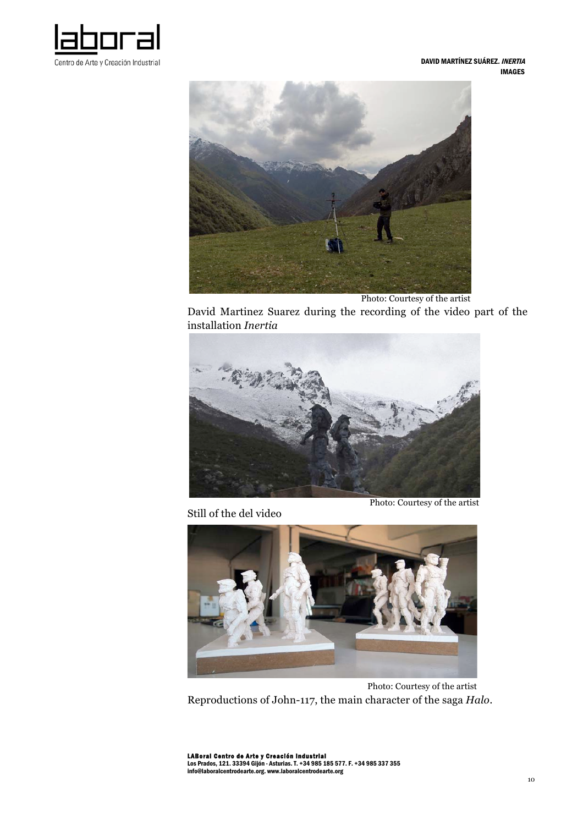



Photo: Courtesy of the artist

David Martinez Suarez during the recording of the video part of the installation *Inertia*



Still of the del video

Photo: Courtesy of the artist



 Photo: Courtesy of the artist Reproductions of John-117, the main character of the saga *Halo*.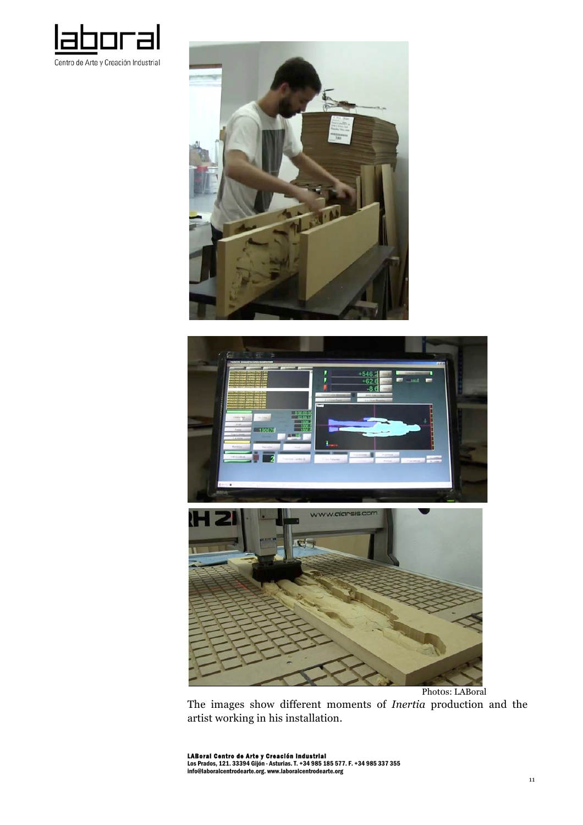





Phot0s: LABoral

The images show different moments of *Inertia* production and the artist working in his installation.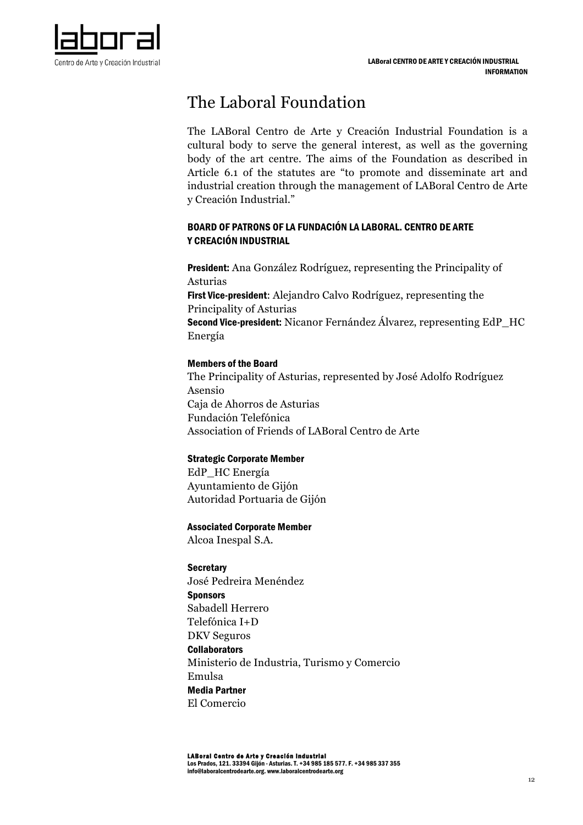

# The Laboral Foundation

The LABoral Centro de Arte y Creación Industrial Foundation is a cultural body to serve the general interest, as well as the governing body of the art centre. The aims of the Foundation as described in Article 6.1 of the statutes are "to promote and disseminate art and industrial creation through the management of LABoral Centro de Arte y Creación Industrial."

# BOARD OF PATRONS OF LA FUNDACIÓN LA LABORAL. CENTRO DE ARTE Y CREACIÓN INDUSTRIAL

President: Ana González Rodríguez, representing the Principality of Asturias First Vice-president: Alejandro Calvo Rodríguez, representing the Principality of Asturias Second Vice-president: Nicanor Fernández Álvarez, representing EdP\_HC Energía

# Members of the Board

The Principality of Asturias, represented by José Adolfo Rodríguez Asensio Caja de Ahorros de Asturias Fundación Telefónica Association of Friends of LABoral Centro de Arte

## Strategic Corporate Member

EdP\_HC Energía Ayuntamiento de Gijón Autoridad Portuaria de Gijón

### Associated Corporate Member

Alcoa Inespal S.A.

**Secretary** José Pedreira Menéndez **Sponsors** Sabadell Herrero Telefónica I+D DKV Seguros **Collaborators** Ministerio de Industria, Turismo y Comercio Emulsa Media Partner El Comercio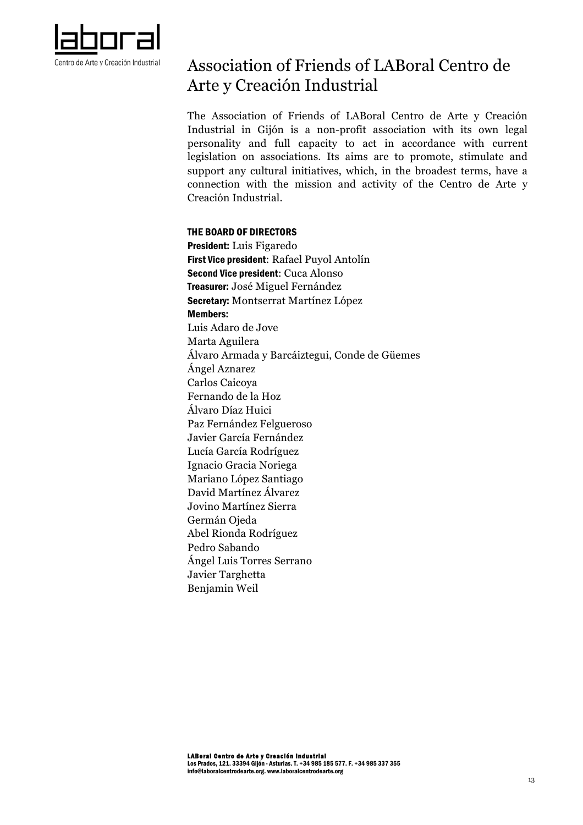

# Association of Friends of LABoral Centro de Arte y Creación Industrial

The Association of Friends of LABoral Centro de Arte y Creación Industrial in Gijón is a non-profit association with its own legal personality and full capacity to act in accordance with current legislation on associations. Its aims are to promote, stimulate and support any cultural initiatives, which, in the broadest terms, have a connection with the mission and activity of the Centro de Arte y Creación Industrial.

### THE BOARD OF DIRECTORS

President: Luis Figaredo First Vice president: Rafael Puyol Antolín Second Vice president: Cuca Alonso Treasurer: José Miguel Fernández Secretary: Montserrat Martínez López Members: Luis Adaro de Jove Marta Aguilera Álvaro Armada y Barcáiztegui, Conde de Güemes Ángel Aznarez Carlos Caicoya Fernando de la Hoz Álvaro Díaz Huici Paz Fernández Felgueroso Javier García Fernández Lucía García Rodríguez Ignacio Gracia Noriega Mariano López Santiago David Martínez Álvarez Jovino Martínez Sierra Germán Ojeda Abel Rionda Rodríguez Pedro Sabando Ángel Luis Torres Serrano Javier Targhetta Benjamin Weil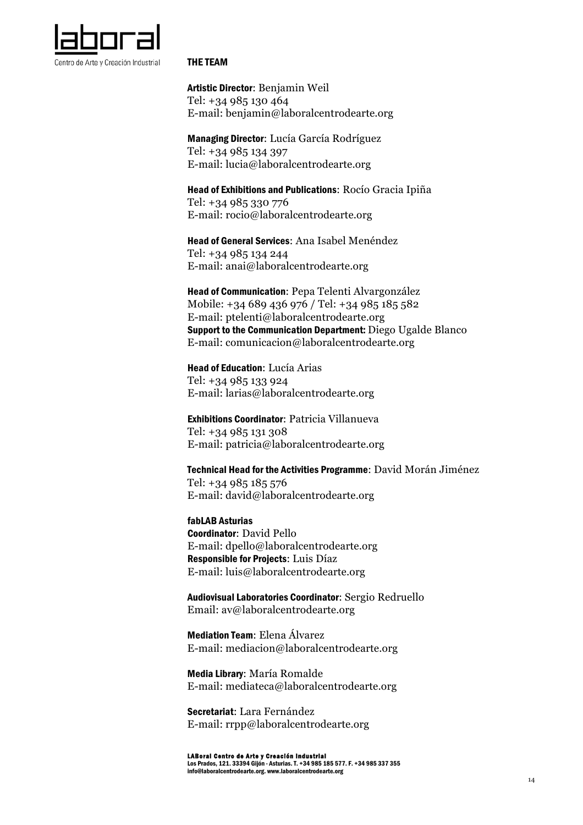

#### THE TEAM

Artistic Director: Benjamin Weil Tel: +34 985 130 464 E-mail: benjamin@laboralcentrodearte.org

Managing Director: Lucía García Rodríguez Tel: +34 985 134 397 E-mail: lucia@laboralcentrodearte.org

Head of Exhibitions and Publications: Rocío Gracia Ipiña Tel: +34 985 330 776 E-mail: rocio@laboralcentrodearte.org

Head of General Services: Ana Isabel Menéndez Tel: +34 985 134 244 E-mail: anai@laboralcentrodearte.org

Head of Communication: Pepa Telenti Alvargonzález Mobile: +34 689 436 976 / Tel: +34 985 185 582 E-mail: ptelenti@laboralcentrodearte.org Support to the Communication Department: Diego Ugalde Blanco E-mail: comunicacion@laboralcentrodearte.org

Head of Education: Lucía Arias Tel: +34 985 133 924 E-mail: larias@laboralcentrodearte.org

Exhibitions Coordinator: Patricia Villanueva Tel: +34 985 131 308 E-mail: patricia@laboralcentrodearte.org

Technical Head for the Activities Programme: David Morán Jiménez Tel: +34 985 185 576 E-mail: david@laboralcentrodearte.org

fabLAB Asturias Coordinator: David Pello E-mail: dpello@laboralcentrodearte.org Responsible for Projects: Luis Díaz E-mail: luis@laboralcentrodearte.org

Audiovisual Laboratories Coordinator: Sergio Redruello Email: av@laboralcentrodearte.org

Mediation Team: Elena Álvarez E-mail: mediacion@laboralcentrodearte.org

Media Library: María Romalde E-mail: mediateca@laboralcentrodearte.org

Secretariat: Lara Fernández E-mail: rrpp@laboralcentrodearte.org

LABoral Centro de Arte y Creación Industrial Los Prados, 121. 33394 Gijón - Asturias. T. +34 985 185 577. F. +34 985 337 355 info@laboralcentrodearte.org. www.laboralcentrodearte.org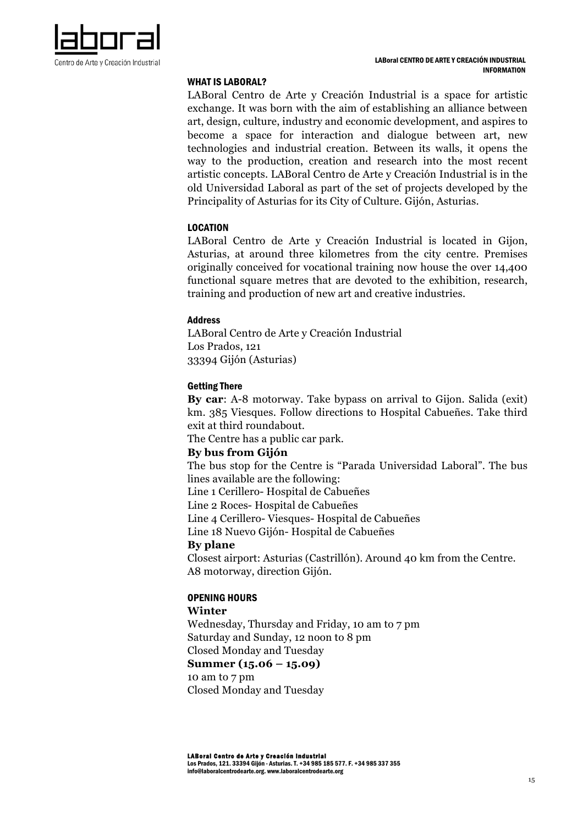

### WHAT IS LABORAL?

LABoral Centro de Arte y Creación Industrial is a space for artistic exchange. It was born with the aim of establishing an alliance between art, design, culture, industry and economic development, and aspires to become a space for interaction and dialogue between art, new technologies and industrial creation. Between its walls, it opens the way to the production, creation and research into the most recent artistic concepts. LABoral Centro de Arte y Creación Industrial is in the old Universidad Laboral as part of the set of projects developed by the Principality of Asturias for its City of Culture. Gijón, Asturias.

### LOCATION

LABoral Centro de Arte y Creación Industrial is located in Gijon, Asturias, at around three kilometres from the city centre. Premises originally conceived for vocational training now house the over 14,400 functional square metres that are devoted to the exhibition, research, training and production of new art and creative industries.

### Address

LABoral Centro de Arte y Creación Industrial Los Prados, 121 33394 Gijón (Asturias)

### Getting There

**By car**: A-8 motorway. Take bypass on arrival to Gijon. Salida (exit) km. 385 Viesques. Follow directions to Hospital Cabueñes. Take third exit at third roundabout.

The Centre has a public car park.

### **By bus from Gijón**

The bus stop for the Centre is "Parada Universidad Laboral". The bus lines available are the following:

Line 1 Cerillero- Hospital de Cabueñes

Line 2 Roces- Hospital de Cabueñes

Line 4 Cerillero- Viesques- Hospital de Cabueñes

Line 18 Nuevo Gijón- Hospital de Cabueñes

### **By plane**

Closest airport: Asturias (Castrillón). Around 40 km from the Centre. A8 motorway, direction Gijón.

### OPENING HOURS

### **Winter**

Wednesday, Thursday and Friday, 10 am to 7 pm Saturday and Sunday, 12 noon to 8 pm Closed Monday and Tuesday **Summer (15.06 – 15.09)**  10 am to 7 pm Closed Monday and Tuesday